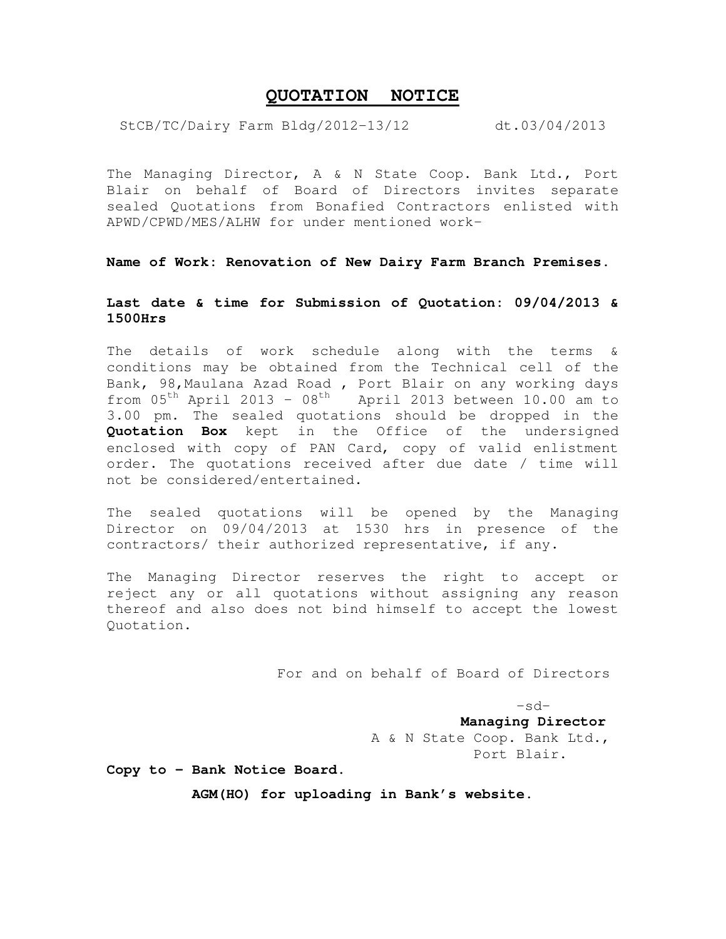## **QUOTATION NOTICE**

StCB/TC/Dairy Farm Bldg/2012-13/12 dt.03/04/2013

The Managing Director, A & N State Coop. Bank Ltd., Port Blair on behalf of Board of Directors invites separate sealed Quotations from Bonafied Contractors enlisted with APWD/CPWD/MES/ALHW for under mentioned work-

**Name of Work: Renovation of New Dairy Farm Branch Premises.** 

## **Last date & time for Submission of Quotation: 09/04/2013 & 1500Hrs**

The details of work schedule along with the terms & conditions may be obtained from the Technical cell of the Bank, 98,Maulana Azad Road , Port Blair on any working days from  $05<sup>th</sup>$  April 2013 -  $08<sup>th</sup>$  April 2013 between 10.00 am to 3.00 pm. The sealed quotations should be dropped in the **Quotation Box** kept in the Office of the undersigned enclosed with copy of PAN Card, copy of valid enlistment order. The quotations received after due date / time will not be considered/entertained.

The sealed quotations will be opened by the Managing Director on 09/04/2013 at 1530 hrs in presence of the contractors/ their authorized representative, if any.

The Managing Director reserves the right to accept or reject any or all quotations without assigning any reason thereof and also does not bind himself to accept the lowest Quotation.

For and on behalf of Board of Directors

 $-sd-$  **Managing Director** 

 A & N State Coop. Bank Ltd., Port Blair.

**Copy to - Bank Notice Board.** 

 **AGM(HO) for uploading in Bank's website.**